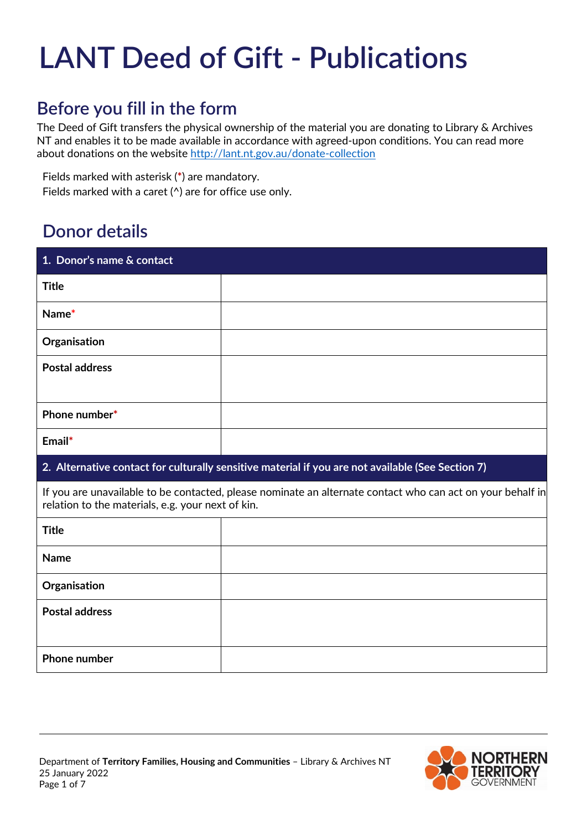# **LANT Deed of Gift - Publications**

## **Before you fill in the form**

The Deed of Gift transfers the physical ownership of the material you are donating to Library & Archives NT and enables it to be made available in accordance with agreed-upon conditions. You can read more about donations on the website <http://lant.nt.gov.au/donate-collection>

Fields marked with asterisk (**\***) are mandatory.

Fields marked with a caret (^) are for office use only.

## **Donor details**

| 1. Donor's name & contact                                                                                                                                       |  |  |  |  |  |
|-----------------------------------------------------------------------------------------------------------------------------------------------------------------|--|--|--|--|--|
| <b>Title</b>                                                                                                                                                    |  |  |  |  |  |
| Name*                                                                                                                                                           |  |  |  |  |  |
| Organisation                                                                                                                                                    |  |  |  |  |  |
| <b>Postal address</b>                                                                                                                                           |  |  |  |  |  |
| Phone number*                                                                                                                                                   |  |  |  |  |  |
| Email*                                                                                                                                                          |  |  |  |  |  |
| 2. Alternative contact for culturally sensitive material if you are not available (See Section 7)                                                               |  |  |  |  |  |
| If you are unavailable to be contacted, please nominate an alternate contact who can act on your behalf in<br>relation to the materials, e.g. your next of kin. |  |  |  |  |  |
| <b>Title</b>                                                                                                                                                    |  |  |  |  |  |
| <b>Name</b>                                                                                                                                                     |  |  |  |  |  |
| Organisation                                                                                                                                                    |  |  |  |  |  |
| <b>Postal address</b>                                                                                                                                           |  |  |  |  |  |
|                                                                                                                                                                 |  |  |  |  |  |
| Phone number                                                                                                                                                    |  |  |  |  |  |

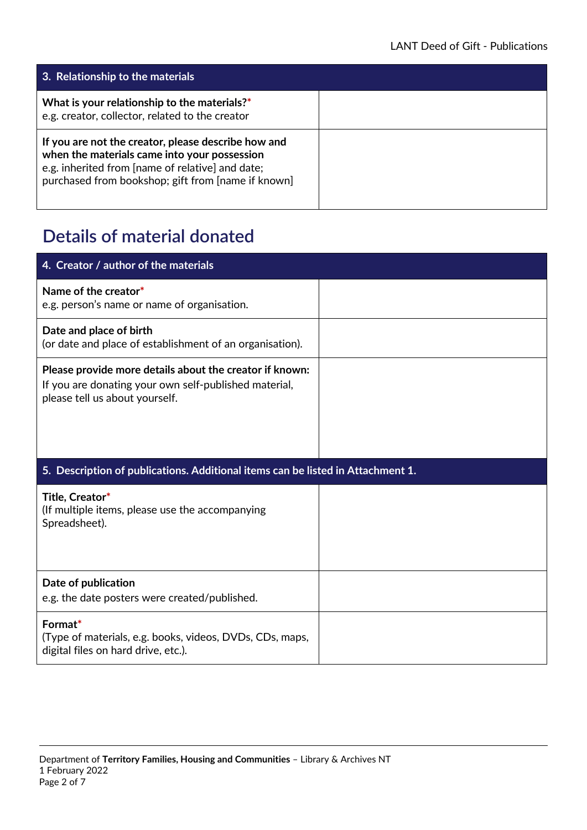| 3. Relationship to the materials                                                                                                                                                                              |  |
|---------------------------------------------------------------------------------------------------------------------------------------------------------------------------------------------------------------|--|
| What is your relationship to the materials?*<br>e.g. creator, collector, related to the creator                                                                                                               |  |
| If you are not the creator, please describe how and<br>when the materials came into your possession<br>e.g. inherited from [name of relative] and date;<br>purchased from bookshop; gift from [name if known] |  |

# **Details of material donated**

| 4. Creator / author of the materials                                                                                                               |  |
|----------------------------------------------------------------------------------------------------------------------------------------------------|--|
| Name of the creator*<br>e.g. person's name or name of organisation.                                                                                |  |
| Date and place of birth<br>(or date and place of establishment of an organisation).                                                                |  |
| Please provide more details about the creator if known:<br>If you are donating your own self-published material,<br>please tell us about yourself. |  |
| 5. Description of publications. Additional items can be listed in Attachment 1.                                                                    |  |
| Title, Creator*<br>(If multiple items, please use the accompanying<br>Spreadsheet).                                                                |  |
| Date of publication<br>e.g. the date posters were created/published.                                                                               |  |
| Format*                                                                                                                                            |  |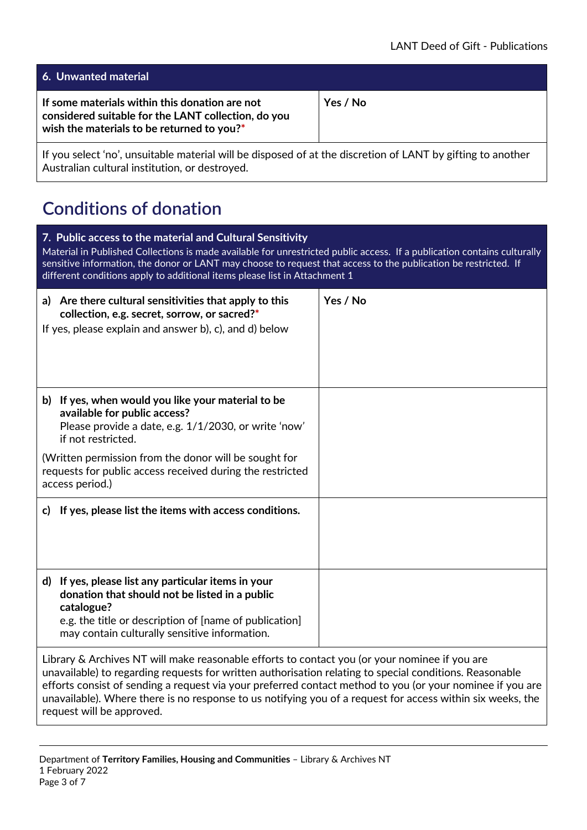| <b>6. Unwanted material</b>                                                                                                                         |          |
|-----------------------------------------------------------------------------------------------------------------------------------------------------|----------|
| If some materials within this donation are not<br>considered suitable for the LANT collection, do you<br>wish the materials to be returned to you?* | Yes / No |
|                                                                                                                                                     |          |

If you select 'no', unsuitable material will be disposed of at the discretion of LANT by gifting to another Australian cultural institution, or destroyed.

# **Conditions of donation**

| 7. Public access to the material and Cultural Sensitivity<br>Material in Published Collections is made available for unrestricted public access. If a publication contains culturally<br>sensitive information, the donor or LANT may choose to request that access to the publication be restricted. If<br>different conditions apply to additional items please list in Attachment 1 |          |  |  |  |  |
|----------------------------------------------------------------------------------------------------------------------------------------------------------------------------------------------------------------------------------------------------------------------------------------------------------------------------------------------------------------------------------------|----------|--|--|--|--|
| a) Are there cultural sensitivities that apply to this<br>collection, e.g. secret, sorrow, or sacred?*<br>If yes, please explain and answer b), c), and d) below                                                                                                                                                                                                                       | Yes / No |  |  |  |  |
| b) If yes, when would you like your material to be<br>available for public access?<br>Please provide a date, e.g. 1/1/2030, or write 'now'<br>if not restricted.                                                                                                                                                                                                                       |          |  |  |  |  |
| (Written permission from the donor will be sought for<br>requests for public access received during the restricted<br>access period.)                                                                                                                                                                                                                                                  |          |  |  |  |  |
| If yes, please list the items with access conditions.<br>C)                                                                                                                                                                                                                                                                                                                            |          |  |  |  |  |
| d) If yes, please list any particular items in your<br>donation that should not be listed in a public<br>catalogue?<br>e.g. the title or description of [name of publication]<br>may contain culturally sensitive information.                                                                                                                                                         |          |  |  |  |  |
| Library & Archives NT will make reasonable efforts to contact you (or your nominee if you are<br>unavailable) to regarding requests for written authorisation relating to special conditions. Reasonable                                                                                                                                                                               |          |  |  |  |  |

unavailable) to regarding requests for written authorisation relating to special conditions. Reasonable efforts consist of sending a request via your preferred contact method to you (or your nominee if you are unavailable). Where there is no response to us notifying you of a request for access within six weeks, the request will be approved.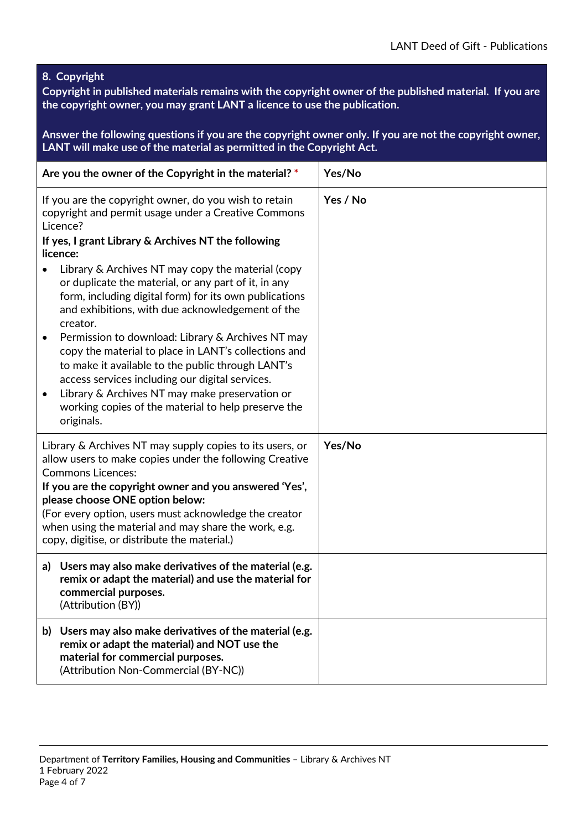**8. Copyright**

**Copyright in published materials remains with the copyright owner of the published material. If you are the copyright owner, you may grant LANT a licence to use the publication.** 

**Answer the following questions if you are the copyright owner only. If you are not the copyright owner, LANT will make use of the material as permitted in the Copyright Act.**

| Are you the owner of the Copyright in the material? *                                                                                                                                                                                                                                                                                                                                                                                                                                                                                                                                                                                                                                                                                                                         | Yes/No   |
|-------------------------------------------------------------------------------------------------------------------------------------------------------------------------------------------------------------------------------------------------------------------------------------------------------------------------------------------------------------------------------------------------------------------------------------------------------------------------------------------------------------------------------------------------------------------------------------------------------------------------------------------------------------------------------------------------------------------------------------------------------------------------------|----------|
| If you are the copyright owner, do you wish to retain<br>copyright and permit usage under a Creative Commons<br>Licence?<br>If yes, I grant Library & Archives NT the following<br>licence:<br>Library & Archives NT may copy the material (copy<br>or duplicate the material, or any part of it, in any<br>form, including digital form) for its own publications<br>and exhibitions, with due acknowledgement of the<br>creator.<br>Permission to download: Library & Archives NT may<br>$\bullet$<br>copy the material to place in LANT's collections and<br>to make it available to the public through LANT's<br>access services including our digital services.<br>Library & Archives NT may make preservation or<br>working copies of the material to help preserve the | Yes / No |
| originals.                                                                                                                                                                                                                                                                                                                                                                                                                                                                                                                                                                                                                                                                                                                                                                    |          |
| Library & Archives NT may supply copies to its users, or<br>allow users to make copies under the following Creative<br><b>Commons Licences:</b><br>If you are the copyright owner and you answered 'Yes',<br>please choose ONE option below:<br>(For every option, users must acknowledge the creator<br>when using the material and may share the work, e.g.<br>copy, digitise, or distribute the material.)                                                                                                                                                                                                                                                                                                                                                                 | Yes/No   |
| Users may also make derivatives of the material (e.g.<br>a)<br>remix or adapt the material) and use the material for<br>commercial purposes.<br>(Attribution (BY))                                                                                                                                                                                                                                                                                                                                                                                                                                                                                                                                                                                                            |          |
| b) Users may also make derivatives of the material (e.g.<br>remix or adapt the material) and NOT use the<br>material for commercial purposes.<br>(Attribution Non-Commercial (BY-NC))                                                                                                                                                                                                                                                                                                                                                                                                                                                                                                                                                                                         |          |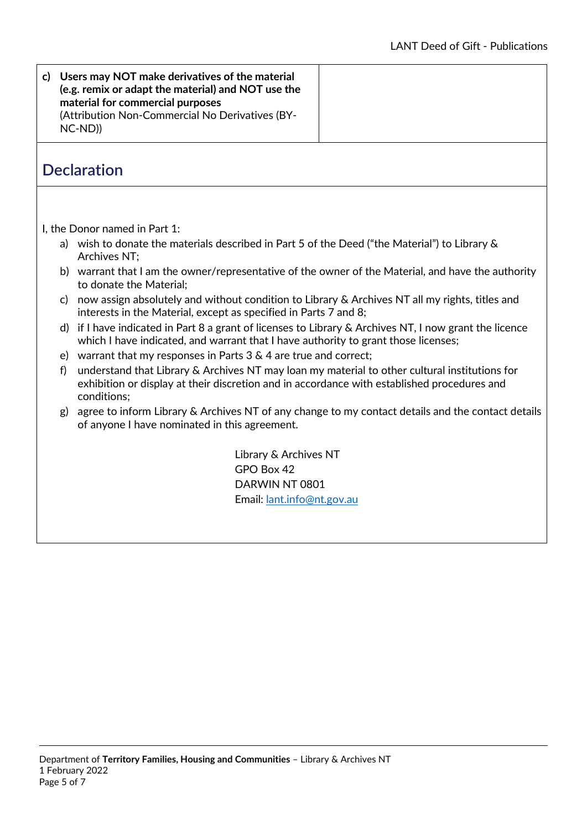#### **c) Users may NOT make derivatives of the material (e.g. remix or adapt the material) and NOT use the material for commercial purposes** (Attribution Non-Commercial No Derivatives (BY-NC-ND))

#### **Declaration**

I, the Donor named in Part 1:

- a) wish to donate the materials described in Part 5 of the Deed ("the Material") to Library & Archives NT;
- b) warrant that I am the owner/representative of the owner of the Material, and have the authority to donate the Material;
- c) now assign absolutely and without condition to Library & Archives NT all my rights, titles and interests in the Material, except as specified in Parts 7 and 8;
- d) if I have indicated in Part 8 a grant of licenses to Library & Archives NT, I now grant the licence which I have indicated, and warrant that I have authority to grant those licenses;
- e) warrant that my responses in Parts 3 & 4 are true and correct;
- f) understand that Library & Archives NT may loan my material to other cultural institutions for exhibition or display at their discretion and in accordance with established procedures and conditions;
- g) agree to inform Library & Archives NT of any change to my contact details and the contact details of anyone I have nominated in this agreement.

Library & Archives NT GPO Box 42 DARWIN NT 0801 Email: [lant.info@nt.gov.au](mailto:lant.info@nt.gov.au)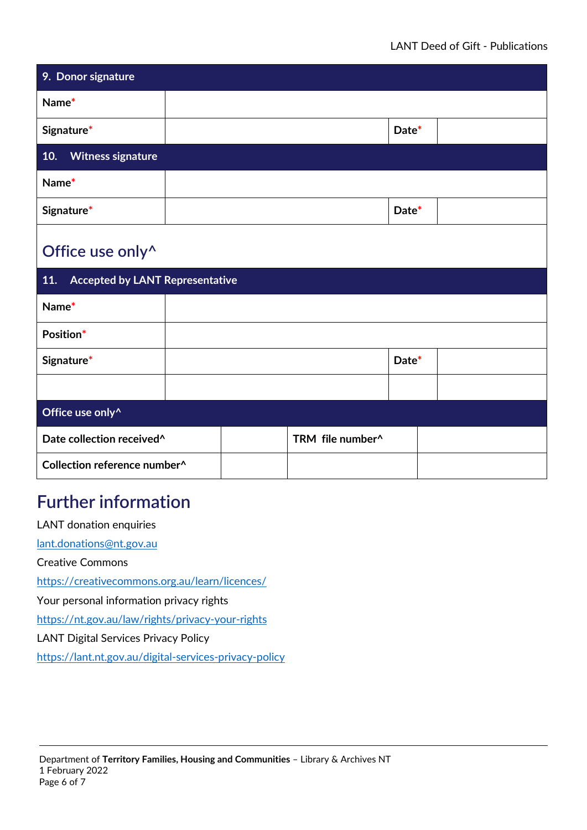| 9. Donor signature              |       |  |
|---------------------------------|-------|--|
| Name*                           |       |  |
| Signature*                      | Date* |  |
| 10.<br><b>Witness signature</b> |       |  |
| Name*                           |       |  |
| Signature*                      | Date* |  |
| Office use only <sup>^</sup>    |       |  |

| <b>Accepted by LANT Representative</b><br>11. |  |  |                  |       |  |  |
|-----------------------------------------------|--|--|------------------|-------|--|--|
| Name*                                         |  |  |                  |       |  |  |
| Position*                                     |  |  |                  |       |  |  |
| Signature*                                    |  |  |                  | Date* |  |  |
|                                               |  |  |                  |       |  |  |
| Office use only <sup>^</sup>                  |  |  |                  |       |  |  |
| Date collection received <sup>^</sup>         |  |  | TRM file number^ |       |  |  |
| Collection reference number^                  |  |  |                  |       |  |  |

# **Further information**

LANT donation enquiries

[lant.donations@nt.gov.au](mailto:lant.donations@nt.gov.au)

Creative Commons

<https://creativecommons.org.au/learn/licences/>

Your personal information privacy rights

<https://nt.gov.au/law/rights/privacy-your-rights>

LANT Digital Services Privacy Policy

<https://lant.nt.gov.au/digital-services-privacy-policy>